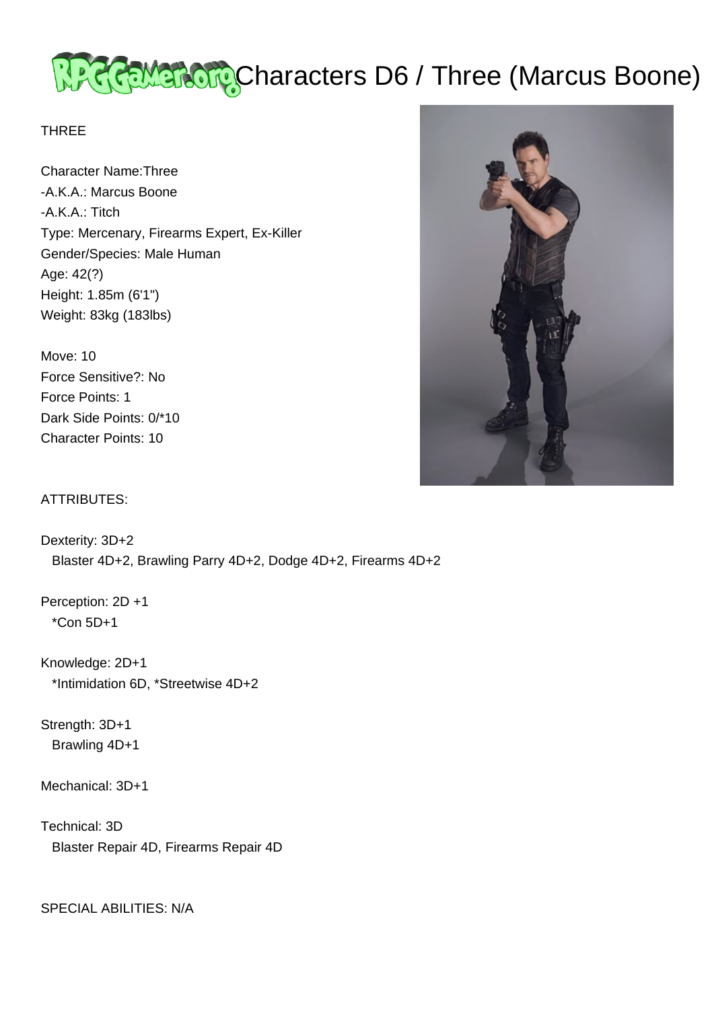# <u>प्रेश्टरहरूआधारीले</u> Characters D6 / Three (Marcus Boone)

## THREE

Character Name:Three -A.K.A.: Marcus Boone -A.K.A.: Titch Type: Mercenary, Firearms Expert, Ex-Killer Gender/Species: Male Human Age: 42(?) Height: 1.85m (6'1") Weight: 83kg (183lbs)

Move: 10 Force Sensitive?: No Force Points: 1 Dark Side Points: 0/\*10 Character Points: 10



## ATTRIBUTES:

Dexterity: 3D+2 Blaster 4D+2, Brawling Parry 4D+2, Dodge 4D+2, Firearms 4D+2

Perception: 2D +1 \*Con 5D+1

Knowledge: 2D+1 \*Intimidation 6D, \*Streetwise 4D+2

Strength: 3D+1 Brawling 4D+1

Mechanical: 3D+1

Technical: 3D Blaster Repair 4D, Firearms Repair 4D

SPECIAL ABILITIES: N/A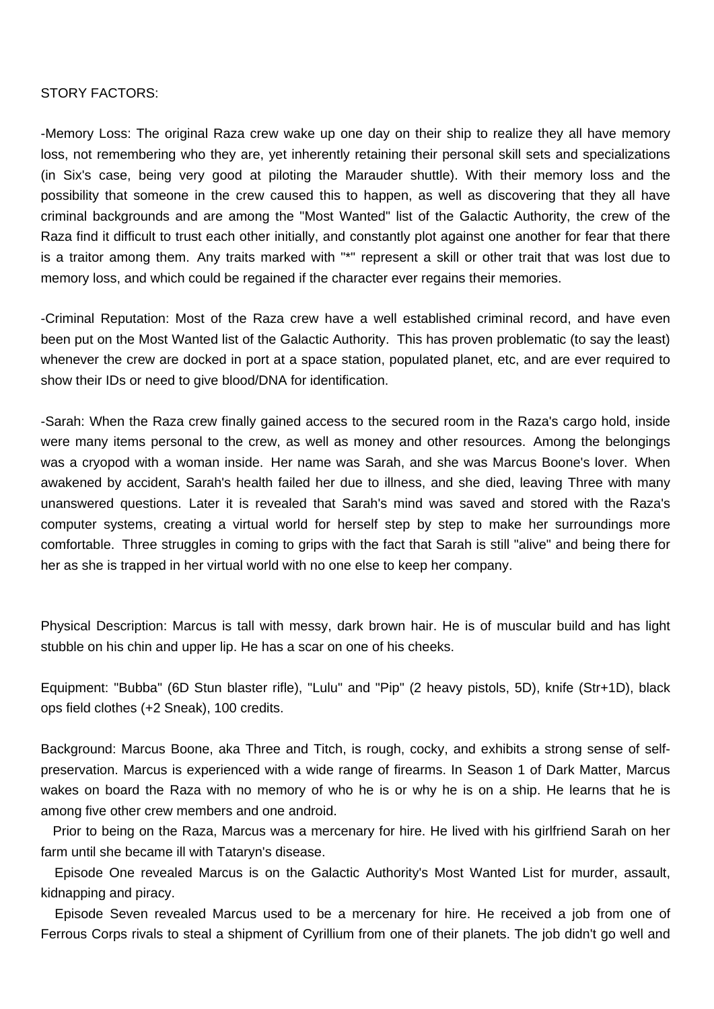#### STORY FACTORS:

-Memory Loss: The original Raza crew wake up one day on their ship to realize they all have memory loss, not remembering who they are, yet inherently retaining their personal skill sets and specializations (in Six's case, being very good at piloting the Marauder shuttle). With their memory loss and the possibility that someone in the crew caused this to happen, as well as discovering that they all have criminal backgrounds and are among the "Most Wanted" list of the Galactic Authority, the crew of the Raza find it difficult to trust each other initially, and constantly plot against one another for fear that there is a traitor among them. Any traits marked with "\*" represent a skill or other trait that was lost due to memory loss, and which could be regained if the character ever regains their memories.

-Criminal Reputation: Most of the Raza crew have a well established criminal record, and have even been put on the Most Wanted list of the Galactic Authority. This has proven problematic (to say the least) whenever the crew are docked in port at a space station, populated planet, etc, and are ever required to show their IDs or need to give blood/DNA for identification.

-Sarah: When the Raza crew finally gained access to the secured room in the Raza's cargo hold, inside were many items personal to the crew, as well as money and other resources. Among the belongings was a cryopod with a woman inside. Her name was Sarah, and she was Marcus Boone's lover. When awakened by accident, Sarah's health failed her due to illness, and she died, leaving Three with many unanswered questions. Later it is revealed that Sarah's mind was saved and stored with the Raza's computer systems, creating a virtual world for herself step by step to make her surroundings more comfortable. Three struggles in coming to grips with the fact that Sarah is still "alive" and being there for her as she is trapped in her virtual world with no one else to keep her company.

Physical Description: Marcus is tall with messy, dark brown hair. He is of muscular build and has light stubble on his chin and upper lip. He has a scar on one of his cheeks.

Equipment: "Bubba" (6D Stun blaster rifle), "Lulu" and "Pip" (2 heavy pistols, 5D), knife (Str+1D), black ops field clothes (+2 Sneak), 100 credits.

Background: Marcus Boone, aka Three and Titch, is rough, cocky, and exhibits a strong sense of selfpreservation. Marcus is experienced with a wide range of firearms. In Season 1 of Dark Matter, Marcus wakes on board the Raza with no memory of who he is or why he is on a ship. He learns that he is among five other crew members and one android.

 Prior to being on the Raza, Marcus was a mercenary for hire. He lived with his girlfriend Sarah on her farm until she became ill with Tataryn's disease.

 Episode One revealed Marcus is on the Galactic Authority's Most Wanted List for murder, assault, kidnapping and piracy.

 Episode Seven revealed Marcus used to be a mercenary for hire. He received a job from one of Ferrous Corps rivals to steal a shipment of Cyrillium from one of their planets. The job didn't go well and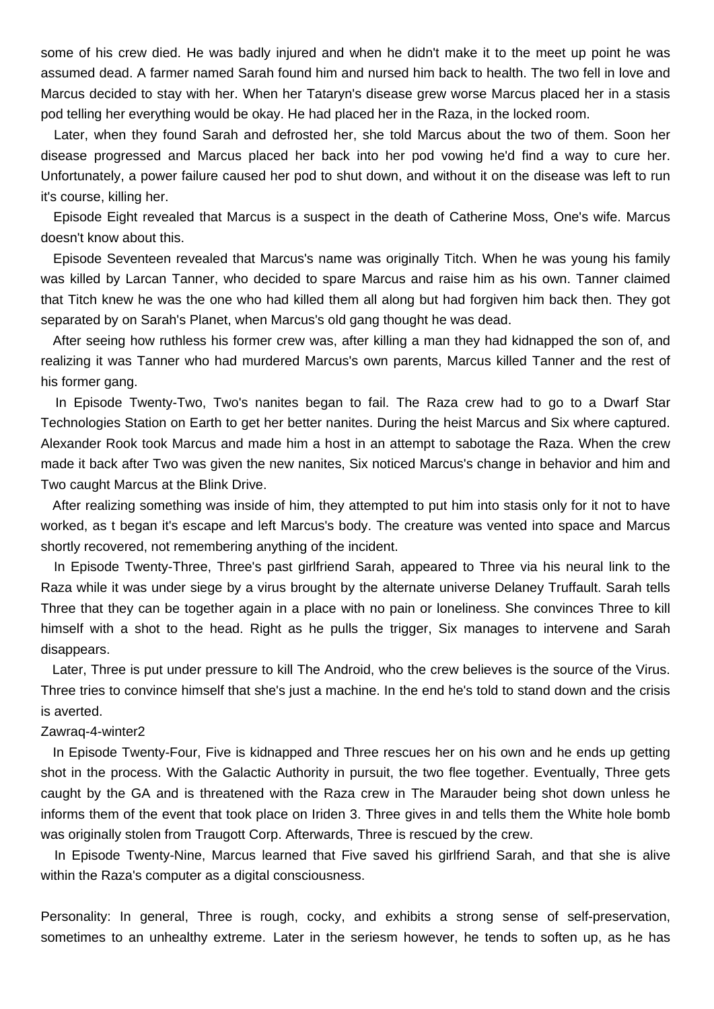some of his crew died. He was badly injured and when he didn't make it to the meet up point he was assumed dead. A farmer named Sarah found him and nursed him back to health. The two fell in love and Marcus decided to stay with her. When her Tataryn's disease grew worse Marcus placed her in a stasis pod telling her everything would be okay. He had placed her in the Raza, in the locked room.

 Later, when they found Sarah and defrosted her, she told Marcus about the two of them. Soon her disease progressed and Marcus placed her back into her pod vowing he'd find a way to cure her. Unfortunately, a power failure caused her pod to shut down, and without it on the disease was left to run it's course, killing her.

 Episode Eight revealed that Marcus is a suspect in the death of Catherine Moss, One's wife. Marcus doesn't know about this.

 Episode Seventeen revealed that Marcus's name was originally Titch. When he was young his family was killed by Larcan Tanner, who decided to spare Marcus and raise him as his own. Tanner claimed that Titch knew he was the one who had killed them all along but had forgiven him back then. They got separated by on Sarah's Planet, when Marcus's old gang thought he was dead.

 After seeing how ruthless his former crew was, after killing a man they had kidnapped the son of, and realizing it was Tanner who had murdered Marcus's own parents, Marcus killed Tanner and the rest of his former gang.

 In Episode Twenty-Two, Two's nanites began to fail. The Raza crew had to go to a Dwarf Star Technologies Station on Earth to get her better nanites. During the heist Marcus and Six where captured. Alexander Rook took Marcus and made him a host in an attempt to sabotage the Raza. When the crew made it back after Two was given the new nanites, Six noticed Marcus's change in behavior and him and Two caught Marcus at the Blink Drive.

 After realizing something was inside of him, they attempted to put him into stasis only for it not to have worked, as t began it's escape and left Marcus's body. The creature was vented into space and Marcus shortly recovered, not remembering anything of the incident.

 In Episode Twenty-Three, Three's past girlfriend Sarah, appeared to Three via his neural link to the Raza while it was under siege by a virus brought by the alternate universe Delaney Truffault. Sarah tells Three that they can be together again in a place with no pain or loneliness. She convinces Three to kill himself with a shot to the head. Right as he pulls the trigger, Six manages to intervene and Sarah disappears.

 Later, Three is put under pressure to kill The Android, who the crew believes is the source of the Virus. Three tries to convince himself that she's just a machine. In the end he's told to stand down and the crisis is averted.

#### Zawraq-4-winter2

 In Episode Twenty-Four, Five is kidnapped and Three rescues her on his own and he ends up getting shot in the process. With the Galactic Authority in pursuit, the two flee together. Eventually, Three gets caught by the GA and is threatened with the Raza crew in The Marauder being shot down unless he informs them of the event that took place on Iriden 3. Three gives in and tells them the White hole bomb was originally stolen from Traugott Corp. Afterwards, Three is rescued by the crew.

 In Episode Twenty-Nine, Marcus learned that Five saved his girlfriend Sarah, and that she is alive within the Raza's computer as a digital consciousness.

Personality: In general, Three is rough, cocky, and exhibits a strong sense of self-preservation, sometimes to an unhealthy extreme. Later in the seriesm however, he tends to soften up, as he has